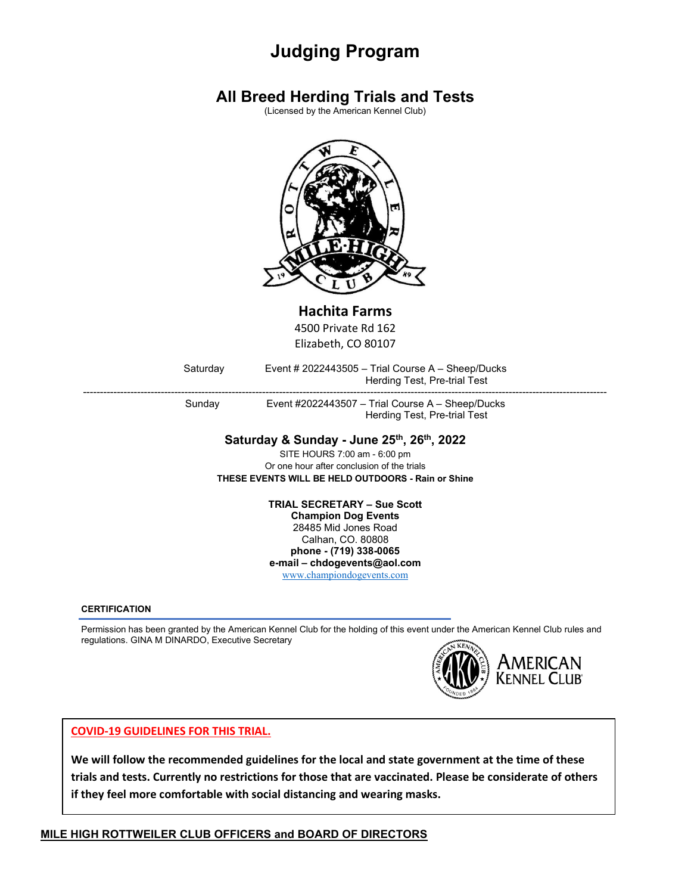# **Judging Program**

## **All Breed Herding Trials and Tests**

(Licensed by the American Kennel Club)



## **Hachita Farms**

4500 Private Rd 162 Elizabeth, CO 80107

Saturday Event # 2022443505 – Trial Course A – Sheep/Ducks Herding Test, Pre-trial Test

----------------------------------------------------------------------------------------------------------------------------------------------------------- Sunday Event #2022443507 – Trial Course A – Sheep/Ducks Herding Test, Pre-trial Test

### **Saturday & Sunday - June 25th, 26th, 2022**

SITE HOURS 7:00 am - 6:00 pm Or one hour after conclusion of the trials **THESE EVENTS WILL BE HELD OUTDOORS - Rain or Shine**

> **TRIAL SECRETARY – Sue Scott Champion Dog Events** 28485 Mid Jones Road

Calhan, CO. 80808 **phone - (719) 338-0065 e-mail – chdogevents@aol.com**

[www.championdogevents.com](http://www.championdogevents.com/)

**CERTIFICATION**

Permission has been granted by the American Kennel Club for the holding of this event under the American Kennel Club rules and regulations. GINA M DINARDO, Executive Secretary



#### **COVID-19 GUIDELINES FOR THIS TRIAL.**

**We will follow the recommended guidelines for the local and state government at the time of these trials and tests. Currently no restrictions for those that are vaccinated. Please be considerate of others if they feel more comfortable with social distancing and wearing masks.**

#### **MILE HIGH ROTTWEILER CLUB OFFICERS and BOARD OF DIRECTORS**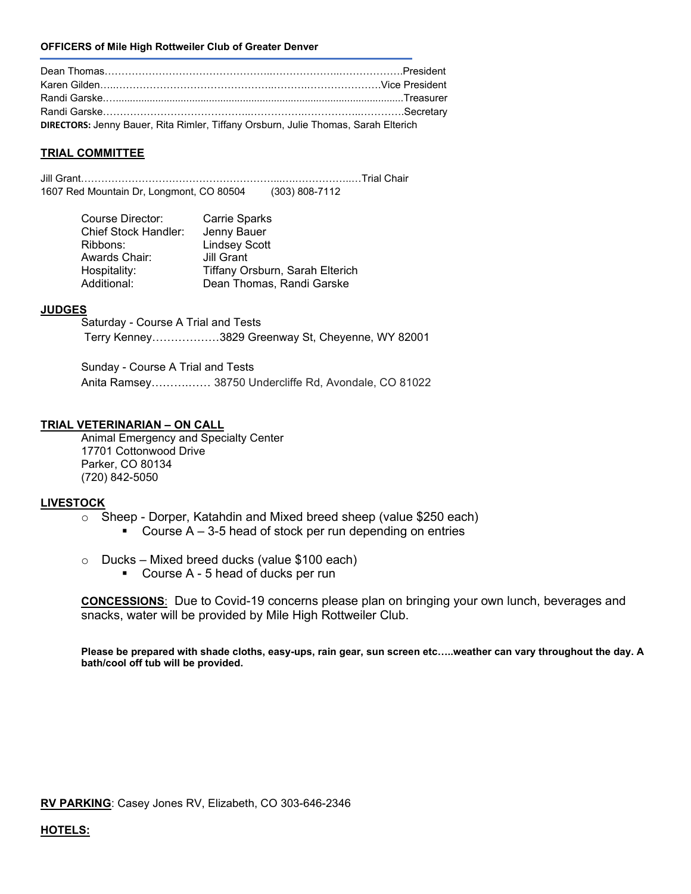#### **OFFICERS of Mile High Rottweiler Club of Greater Denver**

| DIRECTORS: Jenny Bauer, Rita Rimler, Tiffany Orsburn, Julie Thomas, Sarah Elterich |  |
|------------------------------------------------------------------------------------|--|

#### **TRIAL COMMITTEE**

Jill Grant…………………………………………………...….……………..…Trial Chair 1607 Red Mountain Dr, Longmont, CO 80504 (303) 808-7112

| Course Director:     | Carrie Sparks                   |
|----------------------|---------------------------------|
| Chief Stock Handler: | Jenny Bauer                     |
| Ribbons:             | <b>Lindsey Scott</b>            |
| Awards Chair:        | Jill Grant                      |
| Hospitality:         | Tiffany Orsburn, Sarah Elterich |
| Additional:          | Dean Thomas, Randi Garske       |

#### **JUDGES**

Saturday - Course A Trial and Tests Terry Kenney………………3829 Greenway St, Cheyenne, WY 82001

Sunday - Course A Trial and Tests Anita Ramsey……….…… 38750 Undercliffe Rd, Avondale, CO 81022

#### **TRIAL VETERINARIAN – ON CALL**

Animal Emergency and Specialty Center 17701 Cottonwood Drive Parker, CO 80134 (720) 842-5050

#### **LIVESTOCK**

- o Sheep Dorper, Katahdin and Mixed breed sheep (value \$250 each)
	- Course  $A 3-5$  head of stock per run depending on entries
- $\circ$  Ducks Mixed breed ducks (value \$100 each)
	- Course A 5 head of ducks per run

**CONCESSIONS**: Due to Covid-19 concerns please plan on bringing your own lunch, beverages and snacks, water will be provided by Mile High Rottweiler Club.

**Please be prepared with shade cloths, easy-ups, rain gear, sun screen etc…..weather can vary throughout the day. A bath/cool off tub will be provided.**

**RV PARKING**: Casey Jones RV, Elizabeth, CO 303-646-2346

#### **HOTELS:**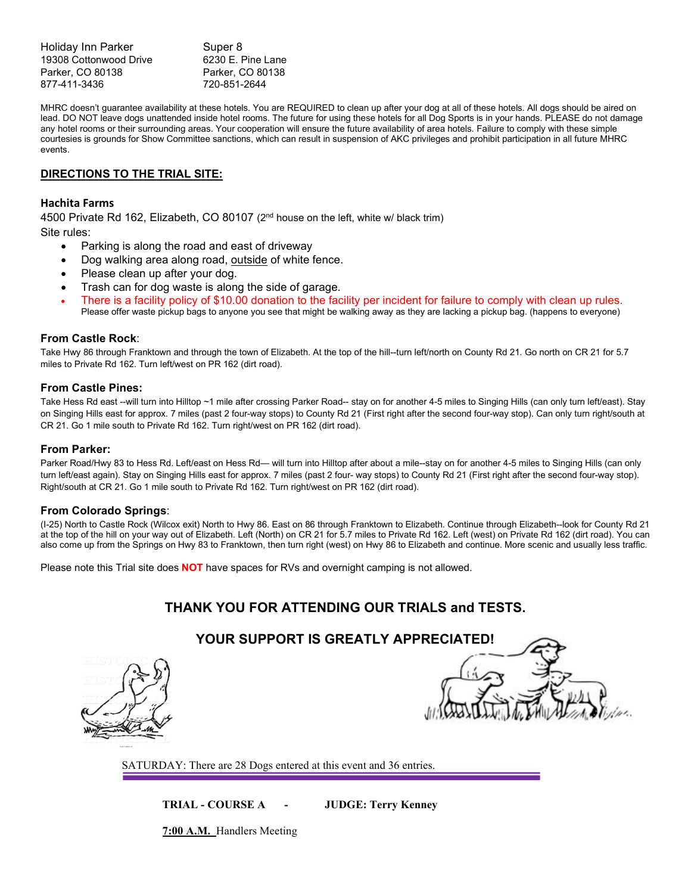Holiday Inn Parker Super 8 19308 Cottonwood Drive 6230 E. Pine Lane Parker, CO 80138 Parker, CO 80138 877-411-3436 720-851-2644

MHRC doesn't guarantee availability at these hotels. You are REQUIRED to clean up after your dog at all of these hotels. All dogs should be aired on lead. DO NOT leave dogs unattended inside hotel rooms. The future for using these hotels for all Dog Sports is in your hands. PLEASE do not damage any hotel rooms or their surrounding areas. Your cooperation will ensure the future availability of area hotels. Failure to comply with these simple courtesies is grounds for Show Committee sanctions, which can result in suspension of AKC privileges and prohibit participation in all future MHRC events.

#### **DIRECTIONS TO THE TRIAL SITE:**

#### **Hachita Farms**

4500 Private Rd 162, Elizabeth, CO 80107 (2nd house on the left, white w/ black trim)

Site rules:

- Parking is along the road and east of driveway
- Dog walking area along road, outside of white fence.
- Please clean up after your dog.
- Trash can for dog waste is along the side of garage.
- There is a facility policy of \$10.00 donation to the facility per incident for failure to comply with clean up rules. Please offer waste pickup bags to anyone you see that might be walking away as they are lacking a pickup bag. (happens to everyone)

#### **From Castle Rock**:

Take Hwy 86 through Franktown and through the town of Elizabeth. At the top of the hill--turn left/north on County Rd 21. Go north on CR 21 for 5.7 miles to Private Rd 162. Turn left/west on PR 162 (dirt road).

#### **From Castle Pines:**

Take Hess Rd east --will turn into Hilltop ~1 mile after crossing Parker Road-- stay on for another 4-5 miles to Singing Hills (can only turn left/east). Stay on Singing Hills east for approx. 7 miles (past 2 four-way stops) to County Rd 21 (First right after the second four-way stop). Can only turn right/south at CR 21. Go 1 mile south to Private Rd 162. Turn right/west on PR 162 (dirt road).

#### **From Parker:**

Parker Road/Hwy 83 to Hess Rd. Left/east on Hess Rd— will turn into Hilltop after about a mile--stay on for another 4-5 miles to Singing Hills (can only turn left/east again). Stay on Singing Hills east for approx. 7 miles (past 2 four- way stops) to County Rd 21 (First right after the second four-way stop). Right/south at CR 21. Go 1 mile south to Private Rd 162. Turn right/west on PR 162 (dirt road).

#### **From Colorado Springs**:

(I-25) North to Castle Rock (Wilcox exit) North to Hwy 86. East on 86 through Franktown to Elizabeth. Continue through Elizabeth--look for County Rd 21 at the top of the hill on your way out of Elizabeth. Left (North) on CR 21 for 5.7 miles to Private Rd 162. Left (west) on Private Rd 162 (dirt road). You can also come up from the Springs on Hwy 83 to Franktown, then turn right (west) on Hwy 86 to Elizabeth and continue. More scenic and usually less traffic.

Please note this Trial site does **NOT** have spaces for RVs and overnight camping is not allowed.

## **THANK YOU FOR ATTENDING OUR TRIALS [and TESTS.](http://www.google.com/url?sa=i&rct=j&q=&esrc=s&source=images&cd=&cad=rja&uact=8&docid=vBDNlJU-8sMXeM&tbnid=xJ12FfI5k0vS-M:&ved=0CAUQjRw&url=http://www.cliparts101.com/free_clipart/1997/Sheep_in_Field&ei=yi1XU4rQNMOryASs6YJQ&bvm=bv.65177938,d.aWw&psig=AFQjCNEFJ5tMfwhrIIGh2OnSsAIBQQLAjQ&ust=1398308552095024)**

## **YOUR SUPPORT IS GREATLY APPRECIATED!**





SATURDAY: There are 28 Dogs entered at this event and 36 entries.

**TRIAL - COURSE A - JUDGE: Terry Kenney**

**7:00 A.M.** Handlers Meeting